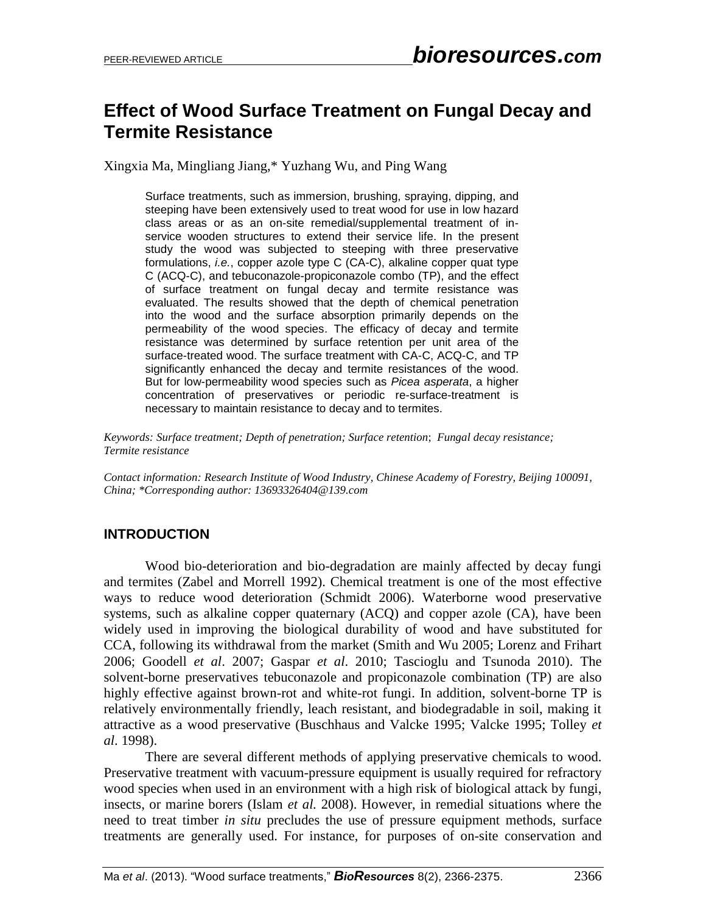# **Effect of Wood Surface Treatment on Fungal Decay and Termite Resistance**

Xingxia Ma, Mingliang Jiang,\* Yuzhang Wu, and Ping Wang

Surface treatments, such as immersion, brushing, spraying, dipping, and steeping have been extensively used to treat wood for use in low hazard class areas or as an on-site remedial/supplemental treatment of inservice wooden structures to extend their service life. In the present study the wood was subjected to steeping with three preservative formulations, *i.e.*, copper azole type C (CA-C), alkaline copper quat type C (ACQ-C), and tebuconazole-propiconazole combo (TP), and the effect of surface treatment on fungal decay and termite resistance was evaluated. The results showed that the depth of chemical penetration into the wood and the surface absorption primarily depends on the permeability of the wood species. The efficacy of decay and termite resistance was determined by surface retention per unit area of the surface-treated wood. The surface treatment with CA-C, ACQ-C, and TP significantly enhanced the decay and termite resistances of the wood. But for low-permeability wood species such as *Picea asperata*, a higher concentration of preservatives or periodic re-surface-treatment is necessary to maintain resistance to decay and to termites.

*Keywords: Surface treatment; Depth of penetration; Surface retention*; *Fungal decay resistance; Termite resistance*

*Contact information: Research Institute of Wood Industry, Chinese Academy of Forestry, Beijing 100091, China; \*Corresponding author: 13693326404@139.com* 

## **INTRODUCTION**

Wood bio-deterioration and bio-degradation are mainly affected by decay fungi and termites (Zabel and Morrell 1992). Chemical treatment is one of the most effective ways to reduce wood deterioration (Schmidt 2006). Waterborne wood preservative systems, such as alkaline copper quaternary (ACQ) and copper azole (CA), have been widely used in improving the biological durability of wood and have substituted for CCA, following its withdrawal from the market (Smith and Wu 2005; Lorenz and Frihart 2006; Goodell *et al*. 2007; Gaspar *et al*. 2010; Tascioglu and Tsunoda 2010). The solvent-borne preservatives tebuconazole and propiconazole combination (TP) are also highly effective against brown-rot and white-rot fungi. In addition, solvent-borne TP is relatively environmentally friendly, leach resistant, and biodegradable in soil, making it attractive as a wood preservative (Buschhaus and Valcke 1995; Valcke 1995; Tolley *et al*. 1998).

There are several different methods of applying preservative chemicals to wood. Preservative treatment with vacuum-pressure equipment is usually required for refractory wood species when used in an environment with a high risk of biological attack by fungi, insects, or marine borers (Islam *et al.* 2008). However, in remedial situations where the need to treat timber *in situ* precludes the use of pressure equipment methods, surface treatments are generally used. For instance, for purposes of on-site conservation and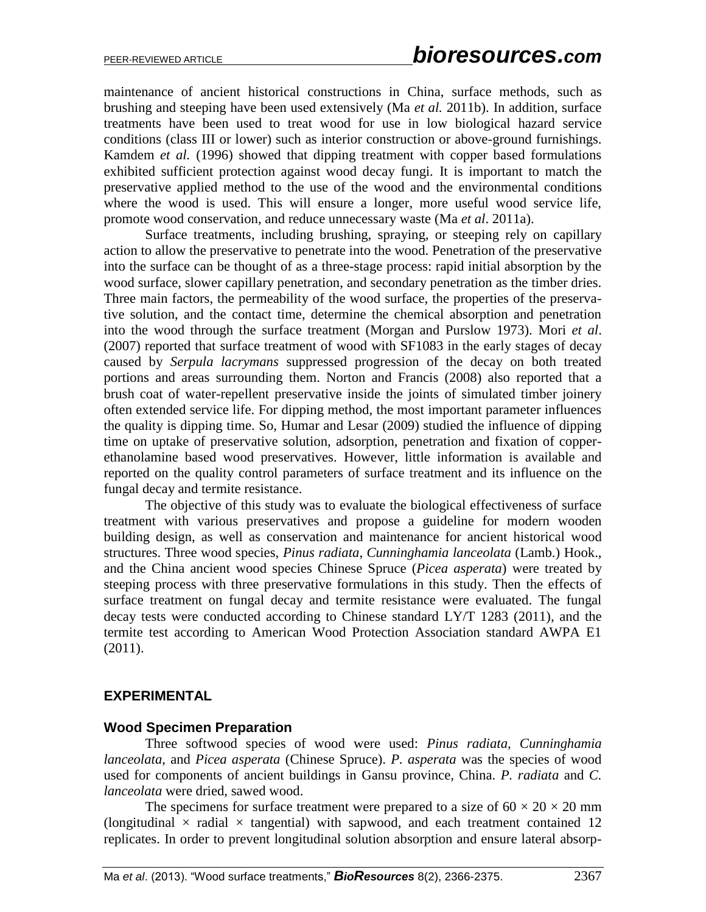maintenance of ancient historical constructions in China, surface methods, such as brushing and steeping have been used extensively (Ma *et al.* 2011b). In addition, surface treatments have been used to treat wood for use in low biological hazard service conditions (class III or lower) such as interior construction or above-ground furnishings. Kamdem *et al.* (1996) showed that dipping treatment with copper based formulations exhibited sufficient protection against wood decay fungi. It is important to match the preservative applied method to the use of the wood and the environmental conditions where the wood is used. This will ensure a longer, more useful wood service life, promote wood conservation, and reduce unnecessary waste (Ma *et al*. 2011a).

Surface treatments, including brushing, spraying, or steeping rely on capillary action to allow the preservative to penetrate into the wood. Penetration of the preservative into the surface can be thought of as a three-stage process: rapid initial absorption by the wood surface, slower capillary penetration, and secondary penetration as the timber dries. Three main factors, the permeability of the wood surface, the properties of the preservative solution, and the contact time, determine the chemical absorption and penetration into the wood through the surface treatment (Morgan and Purslow 1973). Mori *et al*. (2007) reported that surface treatment of wood with SF1083 in the early stages of decay caused by *Serpula lacrymans* suppressed progression of the decay on both treated portions and areas surrounding them. Norton and Francis (2008) also reported that a brush coat of water-repellent preservative inside the joints of simulated timber joinery often extended service life. For dipping method, the most important parameter influences the quality is dipping time. So, Humar and Lesar (2009) studied the influence of dipping time on uptake of preservative solution, adsorption, penetration and fixation of copperethanolamine based wood preservatives. However, little information is available and reported on the quality control parameters of surface treatment and its influence on the fungal decay and termite resistance.

The objective of this study was to evaluate the biological effectiveness of surface treatment with various preservatives and propose a guideline for modern wooden building design, as well as conservation and maintenance for ancient historical wood structures. Three wood species, *Pinus radiata*, *Cunninghamia lanceolata* (Lamb.) Hook., and the China ancient wood species Chinese Spruce (*Picea asperata*) were treated by steeping process with three preservative formulations in this study. Then the effects of surface treatment on fungal decay and termite resistance were evaluated. The fungal decay tests were conducted according to Chinese standard LY/T 1283 (2011), and the termite test according to American Wood Protection Association standard AWPA E1 (2011).

#### **EXPERIMENTAL**

#### **Wood Specimen Preparation**

Three softwood species of wood were used: *Pinus radiata, Cunninghamia lanceolata*, and *Picea asperata* (Chinese Spruce). *P. asperata* was the species of wood used for components of ancient buildings in Gansu province, China. *P. radiata* and *C. lanceolata* were dried, sawed wood.

The specimens for surface treatment were prepared to a size of  $60 \times 20 \times 20$  mm (longitudinal  $\times$  radial  $\times$  tangential) with sapwood, and each treatment contained 12 replicates. In order to prevent longitudinal solution absorption and ensure lateral absorp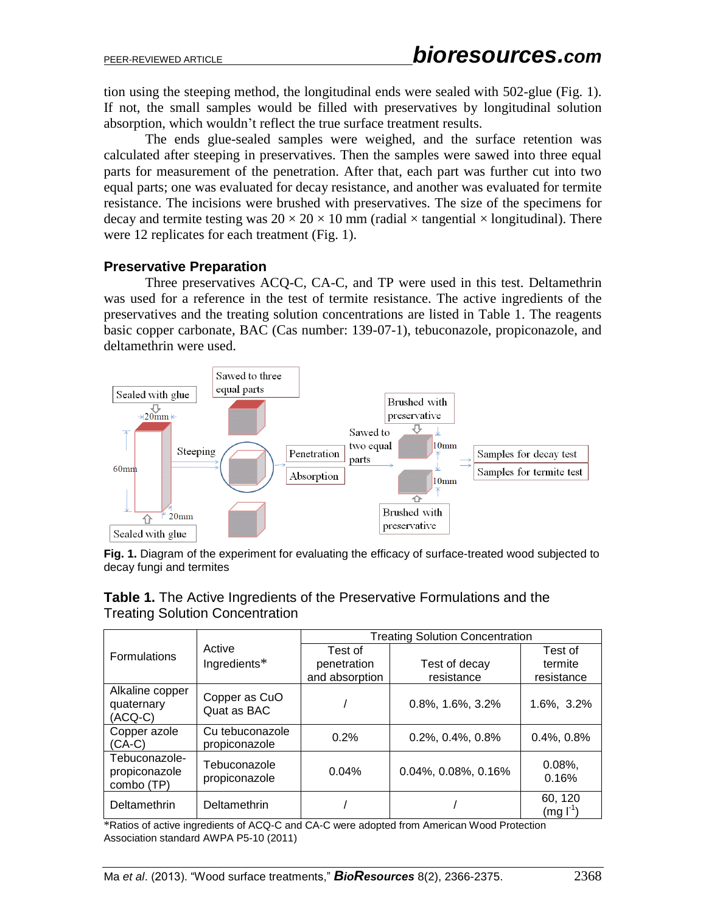tion using the steeping method, the longitudinal ends were sealed with 502-glue (Fig. 1). If not, the small samples would be filled with preservatives by longitudinal solution absorption, which wouldn't reflect the true surface treatment results.

The ends glue-sealed samples were weighed, and the surface retention was calculated after steeping in preservatives. Then the samples were sawed into three equal parts for measurement of the penetration. After that, each part was further cut into two equal parts; one was evaluated for decay resistance, and another was evaluated for termite resistance. The incisions were brushed with preservatives. The size of the specimens for decay and termite testing was  $20 \times 20 \times 10$  mm (radial  $\times$  tangential  $\times$  longitudinal). There were 12 replicates for each treatment (Fig. 1).

#### **Preservative Preparation**

Three preservatives ACQ-C, CA-C, and TP were used in this test. Deltamethrin was used for a reference in the test of termite resistance. The active ingredients of the preservatives and the treating solution concentrations are listed in Table 1. The reagents basic copper carbonate, BAC (Cas number: 139-07-1), tebuconazole, propiconazole, and deltamethrin were used.



**Fig. 1.** Diagram of the experiment for evaluating the efficacy of surface-treated wood subjected to decay fungi and termites

| <b>Trodaing Columbir Controllation</b>       |                                  |                                        |                             |                                  |  |  |  |  |  |
|----------------------------------------------|----------------------------------|----------------------------------------|-----------------------------|----------------------------------|--|--|--|--|--|
| <b>Formulations</b>                          |                                  | <b>Treating Solution Concentration</b> |                             |                                  |  |  |  |  |  |
|                                              | Active                           | Test of                                |                             | Test of                          |  |  |  |  |  |
|                                              | Ingredients*                     | penetration                            | Test of decay               | termite                          |  |  |  |  |  |
|                                              |                                  | and absorption                         | resistance                  | resistance                       |  |  |  |  |  |
| Alkaline copper                              | Copper as CuO                    |                                        |                             |                                  |  |  |  |  |  |
| quaternary                                   | Quat as BAC                      |                                        | 0.8%, 1.6%, 3.2%            | 1.6%, 3.2%                       |  |  |  |  |  |
| (ACQ-C)                                      |                                  |                                        |                             |                                  |  |  |  |  |  |
| Copper azole<br>$(CA-C)$                     | Cu tebuconazole<br>propiconazole | 0.2%                                   | $0.2\%$ , $0.4\%$ , $0.8\%$ | $0.4\%$ , $0.8\%$                |  |  |  |  |  |
| Tebuconazole-<br>propiconazole<br>combo (TP) | Tebuconazole<br>propiconazole    | 0.04%                                  | 0.04%, 0.08%, 0.16%         | $0.08\%$<br>0.16%                |  |  |  |  |  |
| Deltamethrin                                 | Deltamethrin                     |                                        |                             | 60, 120<br>(mg $\mathsf{I}^\top$ |  |  |  |  |  |

## **Table 1.** The Active Ingredients of the Preservative Formulations and the Treating Solution Concentration

\*Ratios of active ingredients of ACQ-C and CA-C were adopted from American Wood Protection Association standard AWPA P5-10 (2011)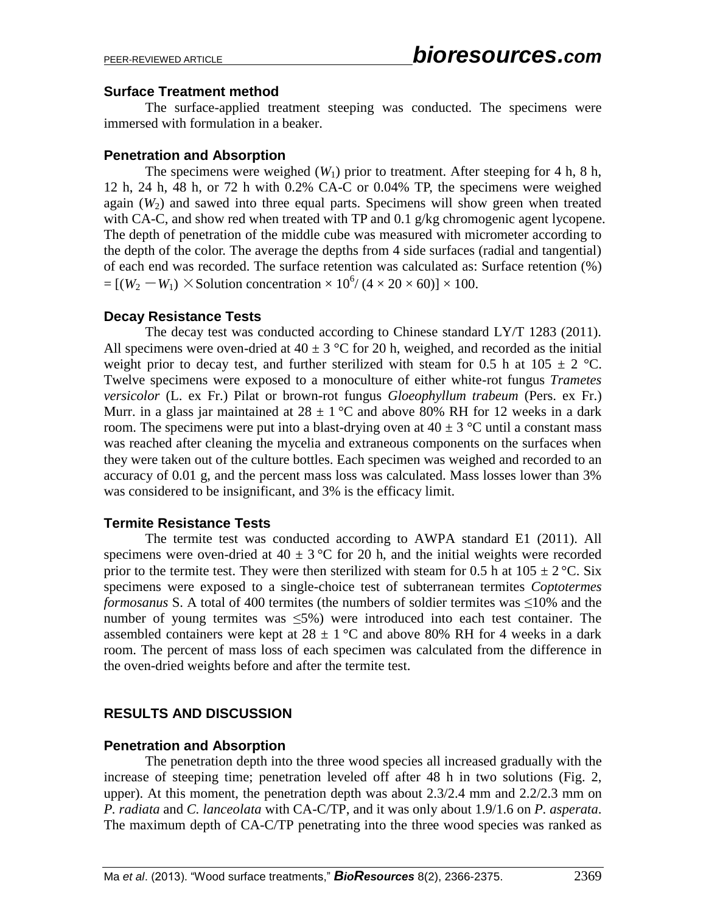#### **Surface Treatment method**

The surface-applied treatment steeping was conducted. The specimens were immersed with formulation in a beaker.

#### **Penetration and Absorption**

The specimens were weighed  $(W_1)$  prior to treatment. After steeping for 4 h, 8 h, 12 h, 24 h, 48 h, or 72 h with 0.2% CA-C or 0.04% TP, the specimens were weighed again  $(W_2)$  and sawed into three equal parts. Specimens will show green when treated with CA-C, and show red when treated with TP and 0.1 g/kg chromogenic agent lycopene. The depth of penetration of the middle cube was measured with micrometer according to the depth of the color. The average the depths from 4 side surfaces (radial and tangential) of each end was recorded. The surface retention was calculated as: Surface retention (%)  $= [(W_2-W_1) \times$  Solution concentration  $\times 10^6/(4 \times 20 \times 60)] \times 100$ .

## **Decay Resistance Tests**

The decay test was conducted according to Chinese standard LY/T 1283 (2011). All specimens were oven-dried at  $40 \pm 3$  °C for 20 h, weighed, and recorded as the initial weight prior to decay test, and further sterilized with steam for 0.5 h at  $105 \pm 2$  °C. Twelve specimens were exposed to a monoculture of either white-rot fungus *Trametes versicolor* (L. ex Fr.) Pilat or brown-rot fungus *Gloeophyllum trabeum* (Pers. ex Fr.) Murr. in a glass jar maintained at  $28 \pm 1$  °C and above 80% RH for 12 weeks in a dark room. The specimens were put into a blast-drying oven at  $40 \pm 3$  °C until a constant mass was reached after cleaning the mycelia and extraneous components on the surfaces when they were taken out of the culture bottles. Each specimen was weighed and recorded to an accuracy of 0.01 g, and the percent mass loss was calculated. Mass losses lower than 3% was considered to be insignificant, and 3% is the efficacy limit.

## **Termite Resistance Tests**

The termite test was conducted according to AWPA standard E1 (2011). All specimens were oven-dried at  $40 \pm 3$  °C for 20 h, and the initial weights were recorded prior to the termite test. They were then sterilized with steam for 0.5 h at  $105 \pm 2$  °C. Six specimens were exposed to a single-choice test of subterranean termites *Coptotermes formosanus* S. A total of 400 termites (the numbers of soldier termites was ≤10% and the number of young termites was  $\leq 5\%$ ) were introduced into each test container. The assembled containers were kept at  $28 \pm 1$  °C and above 80% RH for 4 weeks in a dark room. The percent of mass loss of each specimen was calculated from the difference in the oven-dried weights before and after the termite test.

## **RESULTS AND DISCUSSION**

#### **Penetration and Absorption**

The penetration depth into the three wood species all increased gradually with the increase of steeping time; penetration leveled off after 48 h in two solutions (Fig. 2, upper). At this moment, the penetration depth was about 2.3/2.4 mm and 2.2/2.3 mm on *P. radiata* and *C. lanceolata* with CA-C/TP, and it was only about 1.9/1.6 on *P. asperata*. The maximum depth of CA-C/TP penetrating into the three wood species was ranked as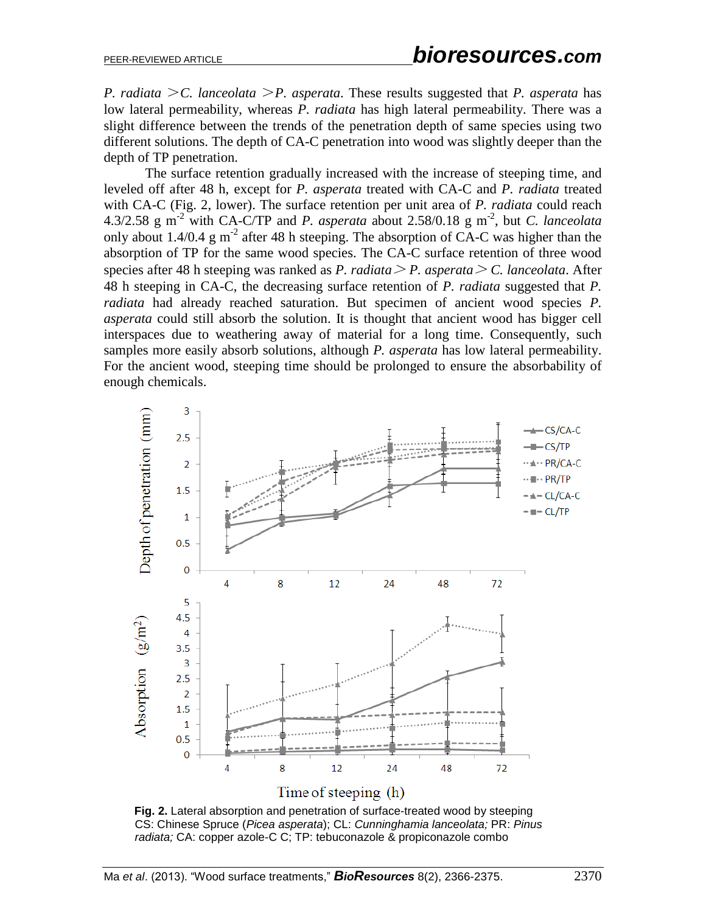*P. radiata* >*C. lanceolata* >*P. asperata*. These results suggested that *P. asperata* has low lateral permeability, whereas *P. radiata* has high lateral permeability. There was a slight difference between the trends of the penetration depth of same species using two different solutions. The depth of CA-C penetration into wood was slightly deeper than the depth of TP penetration.

The surface retention gradually increased with the increase of steeping time, and leveled off after 48 h, except for *P. asperata* treated with CA-C and *P. radiata* treated with CA-C (Fig. 2, lower). The surface retention per unit area of *P. radiata* could reach 4.3/2.58  $g$  m<sup>-2</sup> with CA-C/TP and *P. asperata* about 2.58/0.18  $g$  m<sup>-2</sup>, but *C. lanceolata* only about 1.4/0.4  $\rm g$  m<sup>-2</sup> after 48 h steeping. The absorption of CA-C was higher than the absorption of TP for the same wood species. The CA-C surface retention of three wood species after 48 h steeping was ranked as *P. radiata*<sup>&</sup>gt; *P. asperata*<sup>&</sup>gt; *C. lanceolata*. After 48 h steeping in CA-C, the decreasing surface retention of *P. radiata* suggested that *P. radiata* had already reached saturation. But specimen of ancient wood species *P. asperata* could still absorb the solution. It is thought that ancient wood has bigger cell interspaces due to weathering away of material for a long time. Consequently, such samples more easily absorb solutions, although *P. asperata* has low lateral permeability. For the ancient wood, steeping time should be prolonged to ensure the absorbability of enough chemicals.



**Fig. 2.** Lateral absorption and penetration of surface-treated wood by steeping CS: Chinese Spruce (*Picea asperata*); CL: *Cunninghamia lanceolata;* PR: *Pinus radiata;* CA: copper azole-C C; TP: tebuconazole & propiconazole combo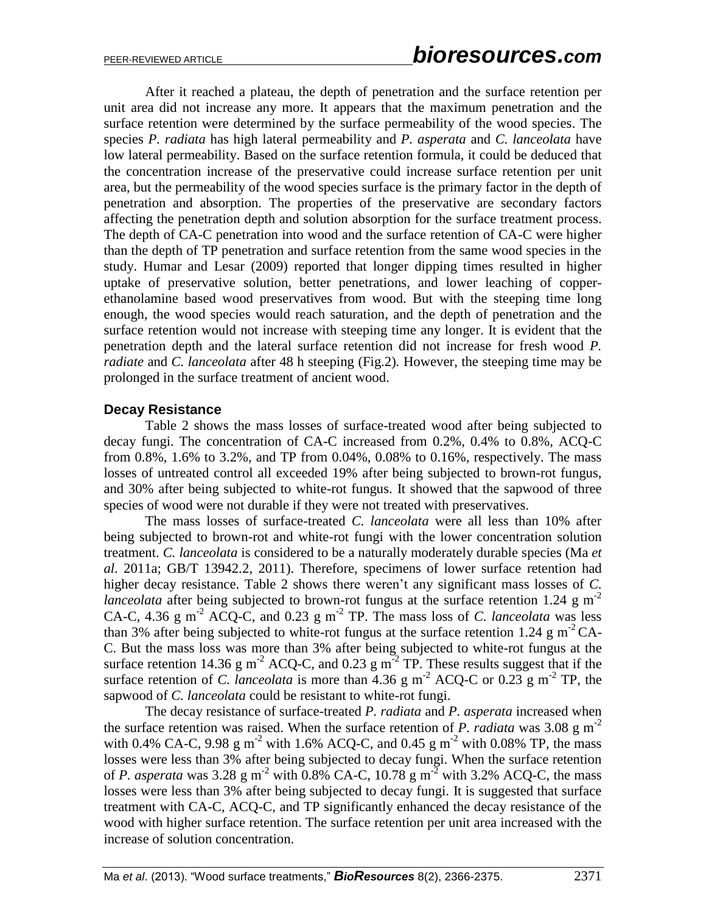After it reached a plateau, the depth of penetration and the surface retention per unit area did not increase any more. It appears that the maximum penetration and the surface retention were determined by the surface permeability of the wood species. The species *P. radiata* has high lateral permeability and *P. asperata* and *C. lanceolata* have low lateral permeability. Based on the surface retention formula, it could be deduced that the concentration increase of the preservative could increase surface retention per unit area, but the permeability of the wood species surface is the primary factor in the depth of penetration and absorption. The properties of the preservative are secondary factors affecting the penetration depth and solution absorption for the surface treatment process. The depth of CA-C penetration into wood and the surface retention of CA-C were higher than the depth of TP penetration and surface retention from the same wood species in the study. Humar and Lesar (2009) reported that longer dipping times resulted in higher uptake of preservative solution, better penetrations, and lower leaching of copperethanolamine based wood preservatives from wood. But with the steeping time long enough, the wood species would reach saturation, and the depth of penetration and the surface retention would not increase with steeping time any longer. It is evident that the penetration depth and the lateral surface retention did not increase for fresh wood *P. radiate* and *C. lanceolata* after 48 h steeping (Fig.2)*.* However, the steeping time may be prolonged in the surface treatment of ancient wood.

## **Decay Resistance**

Table 2 shows the mass losses of surface-treated wood after being subjected to decay fungi. The concentration of CA-C increased from 0.2%, 0.4% to 0.8%, ACQ-C from 0.8%, 1.6% to 3.2%, and TP from 0.04%, 0.08% to 0.16%, respectively. The mass losses of untreated control all exceeded 19% after being subjected to brown-rot fungus, and 30% after being subjected to white-rot fungus. It showed that the sapwood of three species of wood were not durable if they were not treated with preservatives.

The mass losses of surface-treated *C. lanceolata* were all less than 10% after being subjected to brown-rot and white-rot fungi with the lower concentration solution treatment. *C. lanceolata* is considered to be a naturally moderately durable species (Ma *et al*. 2011a; GB/T 13942.2, 2011). Therefore, specimens of lower surface retention had higher decay resistance. Table 2 shows there weren't any significant mass losses of *C. lanceolata* after being subjected to brown-rot fungus at the surface retention 1.24 g  $m^{-2}$ CA-C, 4.36 g m<sup>-2</sup> ACQ-C, and 0.23 g m<sup>-2</sup> TP. The mass loss of *C. lanceolata* was less than 3% after being subjected to white-rot fungus at the surface retention 1.24 g  $m^2CA$ -C. But the mass loss was more than 3% after being subjected to white-rot fungus at the surface retention 14.36 g m<sup>-2</sup> ACQ-C, and 0.23 g m<sup>-2</sup> TP. These results suggest that if the surface retention of *C. lanceolata* is more than 4.36 g m<sup>-2</sup> ACQ-C or 0.23 g m<sup>-2</sup> TP, the sapwood of *C. lanceolata* could be resistant to white-rot fungi.

The decay resistance of surface-treated *P. radiata* and *P. asperata* increased when the surface retention was raised. When the surface retention of *P. radiata* was 3.08 g m<sup>-2</sup> with 0.4% CA-C, 9.98 g m<sup>-2</sup> with 1.6% ACQ-C, and 0.45 g m<sup>-2</sup> with 0.08% TP, the mass losses were less than 3% after being subjected to decay fungi. When the surface retention of *P. asperata* was 3.28 g m<sup>-2</sup> with 0.8% CA-C, 10.78 g m<sup>-2</sup> with 3.2% ACQ-C, the mass losses were less than 3% after being subjected to decay fungi. It is suggested that surface treatment with CA-C, ACQ-C, and TP significantly enhanced the decay resistance of the wood with higher surface retention. The surface retention per unit area increased with the increase of solution concentration.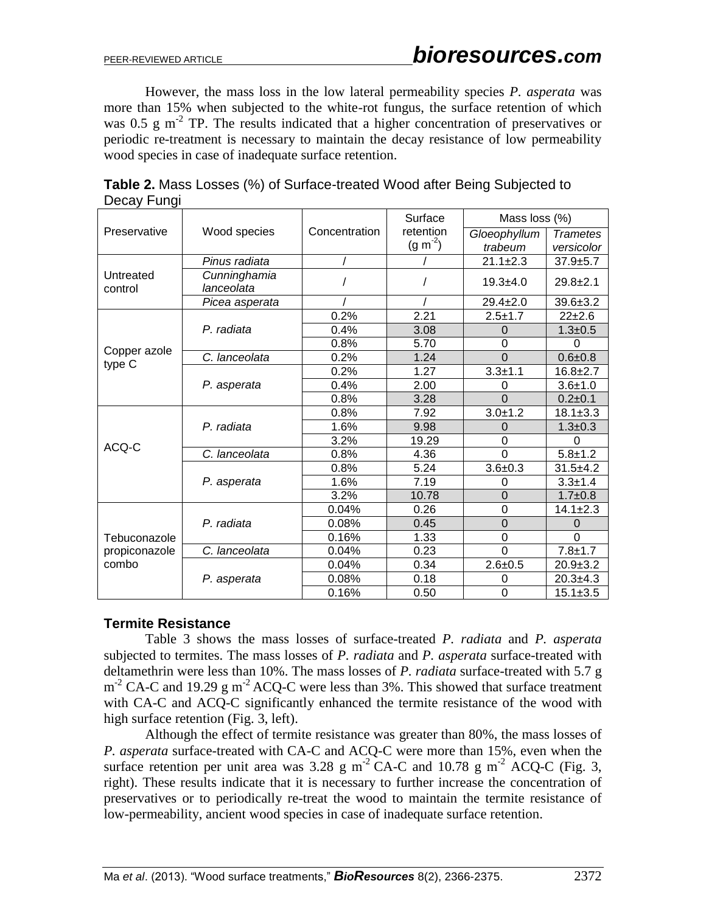However, the mass loss in the low lateral permeability species *P. asperata* was more than 15% when subjected to the white-rot fungus, the surface retention of which was 0.5  $\rm g$  m<sup>-2</sup> TP. The results indicated that a higher concentration of preservatives or periodic re-treatment is necessary to maintain the decay resistance of low permeability wood species in case of inadequate surface retention.

| <u> - J</u>                            |                            |                                | Surface      | Mass loss (%)  |                 |  |
|----------------------------------------|----------------------------|--------------------------------|--------------|----------------|-----------------|--|
| Preservative                           | Wood species               | Concentration                  | retention    | Gloeophyllum   | <b>Trametes</b> |  |
|                                        |                            |                                | $(g m^{-2})$ | trabeum        | versicolor      |  |
|                                        | Pinus radiata              |                                |              | $21.1 \pm 2.3$ | $37.9 + 5.7$    |  |
| Untreated<br>control                   | Cunninghamia<br>lanceolata |                                |              | $19.3 + 4.0$   | $29.8 + 2.1$    |  |
|                                        | Picea asperata             |                                |              | $29.4 \pm 2.0$ | $39.6 \pm 3.2$  |  |
|                                        |                            | 0.2%                           | 2.21         | $2.5 \pm 1.7$  | $22 + 2.6$      |  |
| Copper azole<br>type C                 | P. radiata                 | 0.4%<br>3.08<br>0              |              |                | $1.3 + 0.5$     |  |
|                                        |                            | 5.70<br>$\overline{0}$<br>0.8% |              |                | $\Omega$        |  |
|                                        | C. lanceolata              | 0.2%                           | 1.24         | $\Omega$       | $0.6 + 0.8$     |  |
|                                        |                            | 0.2%                           | 1.27         | $3.3 + 1.1$    | $16.8 + 2.7$    |  |
|                                        | P. asperata                | 0.4%<br>2.00<br>0              |              |                | $3.6 + 1.0$     |  |
|                                        |                            | $\Omega$<br>0.8%<br>3.28       |              |                | $0.2 + 0.1$     |  |
| ACQ-C                                  |                            | 0.8%                           | 7.92         | $3.0 + 1.2$    | $18.1 \pm 3.3$  |  |
|                                        | P. radiata                 | 1.6%                           | 9.98         | 0              | $1.3 + 0.3$     |  |
|                                        |                            | 3.2%                           | 19.29        | 0              | $\Omega$        |  |
|                                        | C. lanceolata              | 0.8%                           | 4.36         | $\Omega$       | $5.8 + 1.2$     |  |
|                                        |                            | 0.8%                           | 5.24         | $3.6 + 0.3$    | $31.5 + 4.2$    |  |
|                                        | P. asperata                | 1.6%                           | 7.19         | 0              | $3.3 + 1.4$     |  |
|                                        |                            | 3.2%                           | 10.78        | $\overline{0}$ | $1.7 \pm 0.8$   |  |
|                                        |                            | 0.04%                          | 0.26         | $\mathbf 0$    | $14.1 \pm 2.3$  |  |
| Tebuconazole<br>propiconazole<br>combo | P. radiata                 | 0.08%                          | 0.45         | $\overline{0}$ | 0               |  |
|                                        |                            | 0.16%                          | 1.33         | $\mathbf 0$    | $\Omega$        |  |
|                                        | C. lanceolata              | 0.04%                          | 0.23         | $\Omega$       | $7.8 + 1.7$     |  |
|                                        |                            | 0.04%                          | 0.34         | $2.6 + 0.5$    | $20.9 + 3.2$    |  |
|                                        | P. asperata                | 0.18<br>0.08%                  |              | 0              | $20.3 + 4.3$    |  |
|                                        |                            | 0.16%                          | 0.50         | 0              | $15.1 \pm 3.5$  |  |

**Table 2.** Mass Losses (%) of Surface-treated Wood after Being Subjected to Decay Funni

## **Termite Resistance**

Table 3 shows the mass losses of surface-treated *P. radiata* and *P. asperata* subjected to termites. The mass losses of *P. radiata* and *P. asperata* surface-treated with deltamethrin were less than 10%. The mass losses of *P. radiata* surface-treated with 5.7 g  $m^{-2}$  CA-C and 19.29 g m<sup>-2</sup> ACQ-C were less than 3%. This showed that surface treatment with CA-C and ACQ-C significantly enhanced the termite resistance of the wood with high surface retention (Fig. 3, left).

Although the effect of termite resistance was greater than 80%, the mass losses of *P. asperata* surface-treated with CA-C and ACQ-C were more than 15%, even when the surface retention per unit area was 3.28 g m<sup>-2</sup> CA-C and 10.78 g m<sup>-2</sup> ACQ-C (Fig. 3, right). These results indicate that it is necessary to further increase the concentration of preservatives or to periodically re-treat the wood to maintain the termite resistance of low-permeability, ancient wood species in case of inadequate surface retention.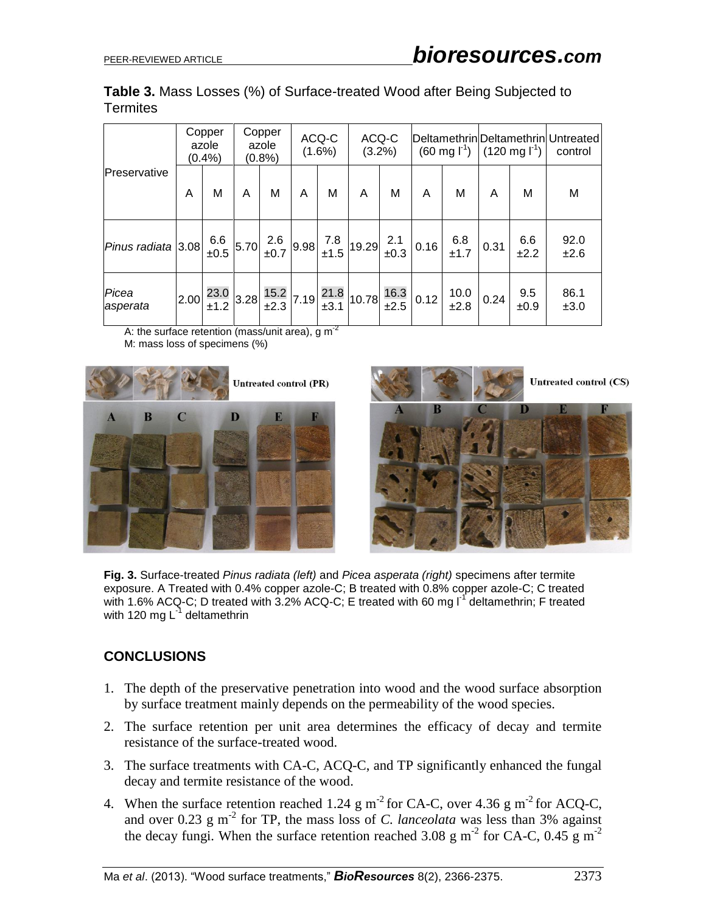## **Table 3.** Mass Losses (%) of Surface-treated Wood after Being Subjected to **Termites**

| Preservative                                                                                                                                                                                                                                                                       | Copper<br>azole<br>(0.4% |   |   | Copper<br>azole<br>(0.8% |   | ACQ-C<br>ACQ-C<br>$(1.6\%)$<br>$(3.2\%)$ |   | Deltamethrin Deltamethrin Untreated |   | $(60 \text{ mg l}^1)$ (120 mg l <sup>1</sup> )                                                                                                                                                                                      |      | control         |              |
|------------------------------------------------------------------------------------------------------------------------------------------------------------------------------------------------------------------------------------------------------------------------------------|--------------------------|---|---|--------------------------|---|------------------------------------------|---|-------------------------------------|---|-------------------------------------------------------------------------------------------------------------------------------------------------------------------------------------------------------------------------------------|------|-----------------|--------------|
|                                                                                                                                                                                                                                                                                    | A                        | M | A | M                        | A | Μ                                        | A | M                                   | A | M                                                                                                                                                                                                                                   | A    | M               | M            |
| Pinus radiata 3.08 $\begin{bmatrix} 6.6 \\ \pm 0.5 \end{bmatrix}$ 5.70 $\begin{bmatrix} 2.6 \\ \pm 0.7 \end{bmatrix}$ 9.98 $\begin{bmatrix} 7.8 \\ \pm 1.5 \end{bmatrix}$ 19.29 $\begin{bmatrix} 2.1 \\ \pm 0.3 \end{bmatrix}$ 0.16 $\begin{bmatrix} 6.8 \\ \pm 1.7 \end{bmatrix}$ |                          |   |   |                          |   |                                          |   |                                     |   |                                                                                                                                                                                                                                     | 0.31 | $6.6$<br>$±2.2$ | 92.0<br>±2.6 |
| Picea<br>asperata                                                                                                                                                                                                                                                                  |                          |   |   |                          |   |                                          |   |                                     |   | $\left  2.00 \right  \frac{23.0}{\pm 1.2} \left  3.28 \right  \frac{15.2}{\pm 2.3} \left  7.19 \right  \frac{21.8}{\pm 3.1} \left  10.78 \right  \frac{16.3}{\pm 2.5} \left  0.12 \right  \frac{10.0}{\pm 2.8} \left  0.24 \right $ |      | 9.5<br>±0.9     | 86.1<br>±3.0 |

A: the surface retention (mass/unit area),  $q m<sup>-2</sup>$ M: mass loss of specimens (%)





**Fig. 3.** Surface-treated *Pinus radiata (left)* and *Picea asperata (right)* specimens after termite exposure. A Treated with 0.4% copper azole-C; B treated with 0.8% copper azole-C; C treated with 1.6% ACQ-C; D treated with 3.2% ACQ-C; E treated with 60 mg  $I^1$  deltamethrin; F treated with 120 mg  $\mathsf{L}^{\text{-1}}$  deltamethrin

# **CONCLUSIONS**

- 1. The depth of the preservative penetration into wood and the wood surface absorption by surface treatment mainly depends on the permeability of the wood species.
- 2. The surface retention per unit area determines the efficacy of decay and termite resistance of the surface-treated wood.
- 3. The surface treatments with CA-C, ACQ-C, and TP significantly enhanced the fungal decay and termite resistance of the wood.
- 4. When the surface retention reached 1.24 g m<sup>-2</sup> for CA-C, over 4.36 g m<sup>-2</sup> for ACQ-C, and over 0.23 g m<sup>-2</sup> for TP, the mass loss of *C. lanceolata* was less than 3% against the decay fungi. When the surface retention reached 3.08 g m<sup>-2</sup> for CA-C, 0.45 g m<sup>-2</sup>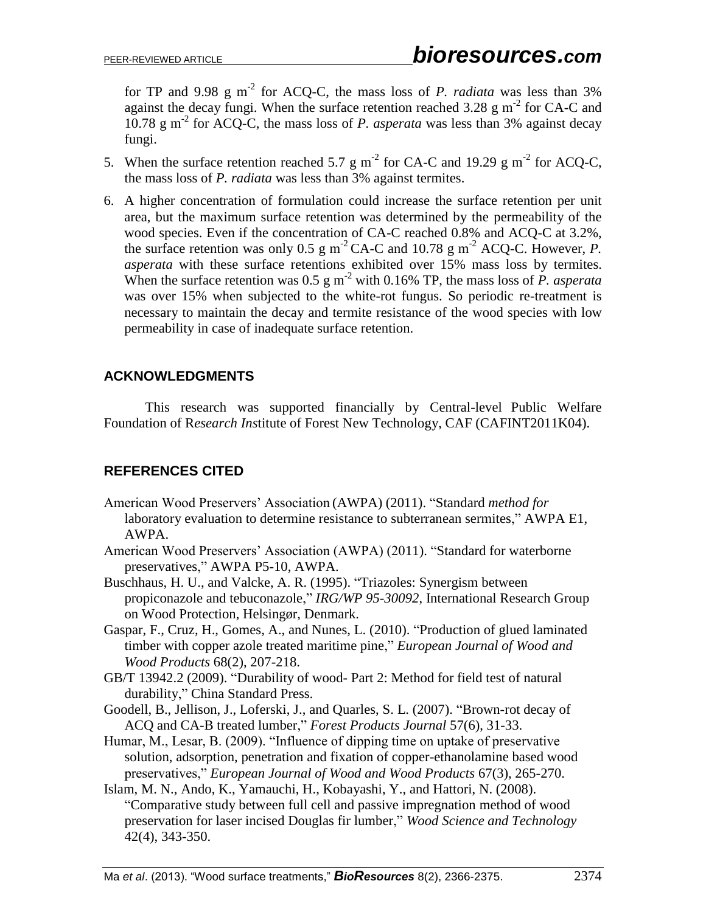for TP and 9.98 g m<sup>-2</sup> for ACQ-C, the mass loss of *P. radiata* was less than 3% against the decay fungi. When the surface retention reached  $3.28 \text{ g m}^2$  for CA-C and 10.78 g m-2 for ACQ-C, the mass loss of *P. asperata* was less than 3% against decay fungi.

- 5. When the surface retention reached 5.7 g m<sup>-2</sup> for CA-C and 19.29 g m<sup>-2</sup> for ACQ-C, the mass loss of *P. radiata* was less than 3% against termites.
- 6. A higher concentration of formulation could increase the surface retention per unit area, but the maximum surface retention was determined by the permeability of the wood species. Even if the concentration of CA-C reached 0.8% and ACQ-C at 3.2%, the surface retention was only  $0.5 \text{ g m}^{-2}$  CA-C and  $10.78 \text{ g m}^{-2}$  ACQ-C. However, *P*. *asperata* with these surface retentions exhibited over 15% mass loss by termites. When the surface retention was  $0.5 \text{ g m}^{-2}$  with  $0.16\%$  TP, the mass loss of *P. asperata* was over 15% when subjected to the white-rot fungus. So periodic re-treatment is necessary to maintain the decay and termite resistance of the wood species with low permeability in case of inadequate surface retention.

## **ACKNOWLEDGMENTS**

This research was supported financially by Central-level Public Welfare Foundation of R*esearch Ins*titute of Forest New Technology, CAF (CAFINT2011K04).

# **REFERENCES CITED**

- American Wood Preservers' Association (AWPA) (2011). "Standard *method for*  laboratory evaluation to determine resistance to subterranean sermites," AWPA E1, AWPA.
- American Wood Preservers' Association (AWPA) (2011). "Standard for waterborne preservatives," AWPA P5-10, AWPA.
- Buschhaus, H. U., and Valcke, A. R. (1995). "Triazoles: Synergism between propiconazole and tebuconazole," *IRG/WP 95-30092*, International Research Group on Wood Protection, Helsingør, Denmark.
- Gaspar, F., Cruz, H., Gomes, A., and Nunes, L. (2010). "Production of glued laminated timber with copper azole treated maritime pine," *European Journal of Wood and Wood Products* 68(2), 207-218.
- GB/T 13942.2 (2009). "Durability of wood- Part 2: Method for field test of natural durability," China Standard Press.
- Goodell, B., Jellison, J., Loferski, J., and Quarles, S. L. (2007). "Brown-rot decay of ACQ and CA-B treated lumber," *Forest Products Journal* 57(6), 31-33.
- Humar, M., Lesar, B. (2009). "Influence of dipping time on uptake of preservative solution, adsorption, penetration and fixation of copper-ethanolamine based wood preservatives," *European Journal of Wood and Wood Products* 67(3), 265-270.
- Islam, M. N., Ando, K., Yamauchi, H., Kobayashi, Y., and Hattori, N. (2008). "Comparative study between full cell and passive impregnation method of wood preservation for laser incised Douglas fir lumber," *Wood Science and Technology* 42(4), 343-350.